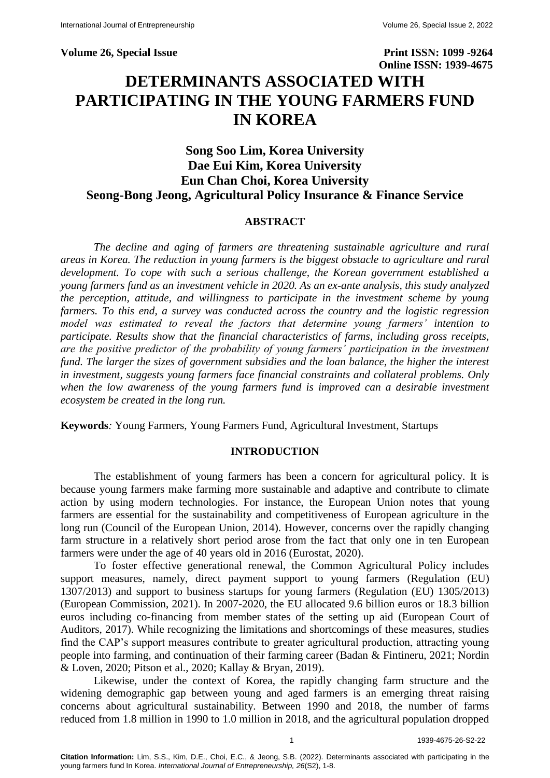**Volume 26, Special Issue Print ISSN: 1099 -9264 Online ISSN: 1939-4675 DETERMINANTS ASSOCIATED WITH PARTICIPATING IN THE YOUNG FARMERS FUND** 

# **Song Soo Lim, Korea University Dae Eui Kim, Korea University Eun Chan Choi, Korea University Seong-Bong Jeong, Agricultural Policy Insurance & Finance Service**

**IN KOREA**

### **ABSTRACT**

*The decline and aging of farmers are threatening sustainable agriculture and rural areas in Korea. The reduction in young farmers is the biggest obstacle to agriculture and rural development. To cope with such a serious challenge, the Korean government established a young farmers fund as an investment vehicle in 2020. As an ex-ante analysis, this study analyzed the perception, attitude, and willingness to participate in the investment scheme by young farmers. To this end, a survey was conducted across the country and the logistic regression model was estimated to reveal the factors that determine young farmers' intention to participate. Results show that the financial characteristics of farms, including gross receipts, are the positive predictor of the probability of young farmers' participation in the investment fund. The larger the sizes of government subsidies and the loan balance, the higher the interest in investment, suggests young farmers face financial constraints and collateral problems. Only*  when the low awareness of the young farmers fund is improved can a desirable investment *ecosystem be created in the long run.*

**Keywords***:* Young Farmers, Young Farmers Fund, Agricultural Investment, Startups

### **INTRODUCTION**

The establishment of young farmers has been a concern for agricultural policy. It is because young farmers make farming more sustainable and adaptive and contribute to climate action by using modern technologies. For instance, the European Union notes that young farmers are essential for the sustainability and competitiveness of European agriculture in the long run (Council of the European Union, 2014). However, concerns over the rapidly changing farm structure in a relatively short period arose from the fact that only one in ten European farmers were under the age of 40 years old in 2016 (Eurostat, 2020).

To foster effective generational renewal, the Common Agricultural Policy includes support measures, namely, direct payment support to young farmers (Regulation (EU) 1307/2013) and support to business startups for young farmers (Regulation (EU) 1305/2013) (European Commission, 2021). In 2007-2020, the EU allocated 9.6 billion euros or 18.3 billion euros including co-financing from member states of the setting up aid (European Court of Auditors, 2017). While recognizing the limitations and shortcomings of these measures, studies find the CAP's support measures contribute to greater agricultural production, attracting young people into farming, and continuation of their farming career (Badan & Fintineru, 2021; Nordin & Loven, 2020; Pitson et al., 2020; Kallay & Bryan, 2019).

Likewise, under the context of Korea, the rapidly changing farm structure and the widening demographic gap between young and aged farmers is an emerging threat raising concerns about agricultural sustainability. Between 1990 and 2018, the number of farms reduced from 1.8 million in 1990 to 1.0 million in 2018, and the agricultural population dropped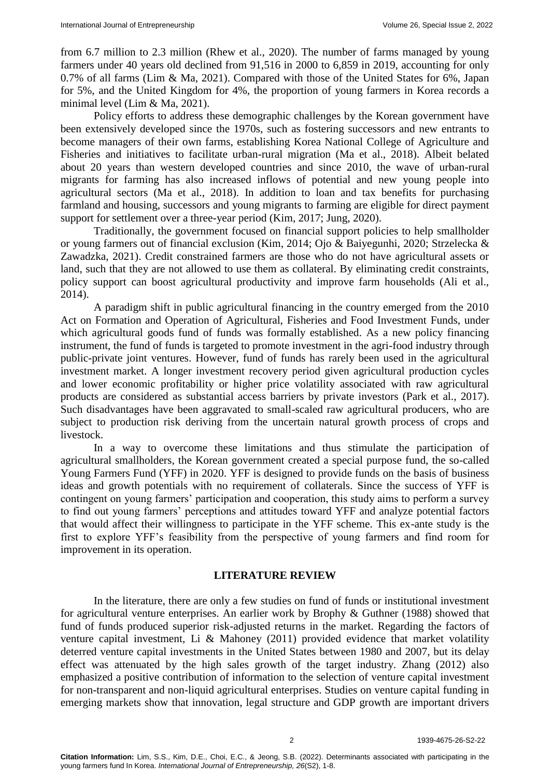from 6.7 million to 2.3 million (Rhew et al., 2020). The number of farms managed by young farmers under 40 years old declined from 91,516 in 2000 to 6,859 in 2019, accounting for only 0.7% of all farms (Lim & Ma, 2021). Compared with those of the United States for 6%, Japan for 5%, and the United Kingdom for 4%, the proportion of young farmers in Korea records a minimal level (Lim & Ma, 2021).

Policy efforts to address these demographic challenges by the Korean government have been extensively developed since the 1970s, such as fostering successors and new entrants to become managers of their own farms, establishing Korea National College of Agriculture and Fisheries and initiatives to facilitate urban-rural migration (Ma et al., 2018). Albeit belated about 20 years than western developed countries and since 2010, the wave of urban-rural migrants for farming has also increased inflows of potential and new young people into agricultural sectors (Ma et al., 2018). In addition to loan and tax benefits for purchasing farmland and housing, successors and young migrants to farming are eligible for direct payment support for settlement over a three-year period (Kim, 2017; Jung, 2020).

Traditionally, the government focused on financial support policies to help smallholder or young farmers out of financial exclusion (Kim, 2014; Ojo & Baiyegunhi, 2020; Strzelecka & Zawadzka, 2021). Credit constrained farmers are those who do not have agricultural assets or land, such that they are not allowed to use them as collateral. By eliminating credit constraints, policy support can boost agricultural productivity and improve farm households (Ali et al., 2014).

A paradigm shift in public agricultural financing in the country emerged from the 2010 Act on Formation and Operation of Agricultural, Fisheries and Food Investment Funds, under which agricultural goods fund of funds was formally established. As a new policy financing instrument, the fund of funds is targeted to promote investment in the agri-food industry through public-private joint ventures. However, fund of funds has rarely been used in the agricultural investment market. A longer investment recovery period given agricultural production cycles and lower economic profitability or higher price volatility associated with raw agricultural products are considered as substantial access barriers by private investors (Park et al., 2017). Such disadvantages have been aggravated to small-scaled raw agricultural producers, who are subject to production risk deriving from the uncertain natural growth process of crops and livestock.

In a way to overcome these limitations and thus stimulate the participation of agricultural smallholders, the Korean government created a special purpose fund, the so-called Young Farmers Fund (YFF) in 2020. YFF is designed to provide funds on the basis of business ideas and growth potentials with no requirement of collaterals. Since the success of YFF is contingent on young farmers' participation and cooperation, this study aims to perform a survey to find out young farmers' perceptions and attitudes toward YFF and analyze potential factors that would affect their willingness to participate in the YFF scheme. This ex-ante study is the first to explore YFF's feasibility from the perspective of young farmers and find room for improvement in its operation.

### **LITERATURE REVIEW**

In the literature, there are only a few studies on fund of funds or institutional investment for agricultural venture enterprises. An earlier work by Brophy & Guthner (1988) showed that fund of funds produced superior risk-adjusted returns in the market. Regarding the factors of venture capital investment, Li & Mahoney (2011) provided evidence that market volatility deterred venture capital investments in the United States between 1980 and 2007, but its delay effect was attenuated by the high sales growth of the target industry. Zhang (2012) also emphasized a positive contribution of information to the selection of venture capital investment for non-transparent and non-liquid agricultural enterprises. Studies on venture capital funding in emerging markets show that innovation, legal structure and GDP growth are important drivers

2 1939-4675-26-S2-22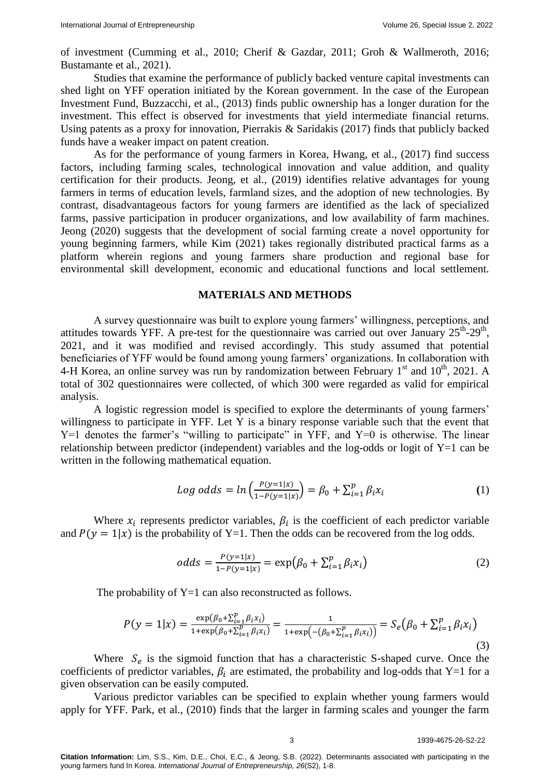of investment (Cumming et al., 2010; Cherif & Gazdar, 2011; Groh & Wallmeroth, 2016; Bustamante et al., 2021).

Studies that examine the performance of publicly backed venture capital investments can shed light on YFF operation initiated by the Korean government. In the case of the European Investment Fund, Buzzacchi, et al., (2013) finds public ownership has a longer duration for the investment. This effect is observed for investments that yield intermediate financial returns. Using patents as a proxy for innovation, Pierrakis & Saridakis (2017) finds that publicly backed funds have a weaker impact on patent creation.

As for the performance of young farmers in Korea, Hwang, et al., (2017) find success factors, including farming scales, technological innovation and value addition, and quality certification for their products. Jeong, et al., (2019) identifies relative advantages for young farmers in terms of education levels, farmland sizes, and the adoption of new technologies. By contrast, disadvantageous factors for young farmers are identified as the lack of specialized farms, passive participation in producer organizations, and low availability of farm machines. Jeong (2020) suggests that the development of social farming create a novel opportunity for young beginning farmers, while Kim (2021) takes regionally distributed practical farms as a platform wherein regions and young farmers share production and regional base for environmental skill development, economic and educational functions and local settlement.

#### **MATERIALS AND METHODS**

A survey questionnaire was built to explore young farmers' willingness, perceptions, and attitudes towards YFF. A pre-test for the questionnaire was carried out over January  $25^{th}$ - $29^{th}$ , 2021, and it was modified and revised accordingly. This study assumed that potential beneficiaries of YFF would be found among young farmers' organizations. In collaboration with 4-H Korea, an online survey was run by randomization between February  $1<sup>st</sup>$  and  $10<sup>th</sup>$ , 2021. A total of 302 questionnaires were collected, of which 300 were regarded as valid for empirical analysis.

A logistic regression model is specified to explore the determinants of young farmers' willingness to participate in YFF. Let Y is a binary response variable such that the event that Y=1 denotes the farmer's "willing to participate" in YFF, and Y=0 is otherwise. The linear relationship between predictor (independent) variables and the log-odds or logit of  $Y=1$  can be written in the following mathematical equation.

Log odds = 
$$
ln\left(\frac{P(y=1|x)}{1-P(y=1|x)}\right) = \beta_0 + \sum_{i=1}^{p} \beta_i x_i
$$
 (1)

Where  $x_i$  represents predictor variables,  $\beta_i$  is the coefficient of each predictor variable and  $P(y = 1|x)$  is the probability of Y=1. Then the odds can be recovered from the log odds.

$$
odds = \frac{P(y=1|x)}{1 - P(y=1|x)} = \exp(\beta_0 + \sum_{i=1}^p \beta_i x_i)
$$
 (2)

The probability of  $Y=1$  can also reconstructed as follows.

$$
P(y = 1|x) = \frac{\exp(\beta_0 + \sum_{i=1}^p \beta_i x_i)}{1 + \exp(\beta_0 + \sum_{i=1}^p \beta_i x_i)} = \frac{1}{1 + \exp(-( \beta_0 + \sum_{i=1}^p \beta_i x_i))} = S_e(\beta_0 + \sum_{i=1}^p \beta_i x_i)
$$
\n(3)

Where  $S_e$  is the sigmoid function that has a characteristic S-shaped curve. Once the coefficients of predictor variables,  $\beta_i$  are estimated, the probability and log-odds that Y=1 for a given observation can be easily computed.

Various predictor variables can be specified to explain whether young farmers would apply for YFF. Park, et al., (2010) finds that the larger in farming scales and younger the farm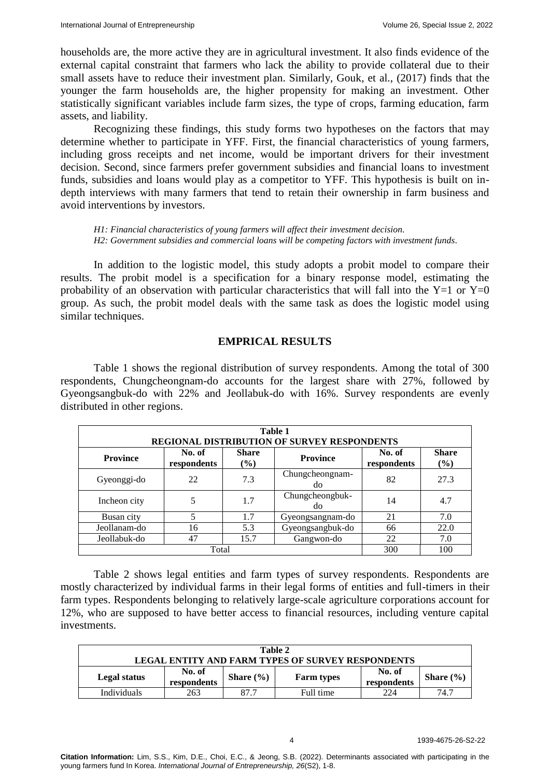households are, the more active they are in agricultural investment. It also finds evidence of the external capital constraint that farmers who lack the ability to provide collateral due to their small assets have to reduce their investment plan. Similarly, Gouk, et al., (2017) finds that the younger the farm households are, the higher propensity for making an investment. Other statistically significant variables include farm sizes, the type of crops, farming education, farm assets, and liability.

Recognizing these findings, this study forms two hypotheses on the factors that may determine whether to participate in YFF. First, the financial characteristics of young farmers, including gross receipts and net income, would be important drivers for their investment decision. Second, since farmers prefer government subsidies and financial loans to investment funds, subsidies and loans would play as a competitor to YFF. This hypothesis is built on indepth interviews with many farmers that tend to retain their ownership in farm business and avoid interventions by investors.

*H1: Financial characteristics of young farmers will affect their investment decision. H2: Government subsidies and commercial loans will be competing factors with investment funds.*

In addition to the logistic model, this study adopts a probit model to compare their results. The probit model is a specification for a binary response model, estimating the probability of an observation with particular characteristics that will fall into the  $Y=1$  or  $Y=0$ group. As such, the probit model deals with the same task as does the logistic model using similar techniques.

## **EMPRICAL RESULTS**

Table 1 shows the regional distribution of survey respondents. Among the total of 300 respondents, Chungcheongnam-do accounts for the largest share with 27%, followed by Gyeongsangbuk-do with 22% and Jeollabuk-do with 16%. Survey respondents are evenly distributed in other regions.

| Table 1                                     |                       |                         |                       |                       |                        |  |
|---------------------------------------------|-----------------------|-------------------------|-----------------------|-----------------------|------------------------|--|
| REGIONAL DISTRIBUTION OF SURVEY RESPONDENTS |                       |                         |                       |                       |                        |  |
| <b>Province</b>                             | No. of<br>respondents | <b>Share</b><br>$($ %)  | <b>Province</b>       | No. of<br>respondents | <b>Share</b><br>$(\%)$ |  |
| Gyeonggi-do                                 | 22                    | 7.3                     | Chungcheongnam-<br>do | 82                    | 27.3                   |  |
| Incheon city                                | 5                     | 1.7                     | Chungcheongbuk-<br>do | 14                    | 4.7                    |  |
| Busan city                                  | 5                     | 1.7                     | Gyeongsangnam-do      | 21                    | 7.0                    |  |
| Jeollanam-do                                | 16                    | Gyeongsangbuk-do<br>5.3 |                       | 66                    | 22.0                   |  |
| Jeollabuk-do                                | 47                    | 15.7                    | Gangwon-do            | 22                    | 7.0                    |  |
|                                             | 300                   | 100                     |                       |                       |                        |  |

Table 2 shows legal entities and farm types of survey respondents. Respondents are mostly characterized by individual farms in their legal forms of entities and full-timers in their farm types. Respondents belonging to relatively large-scale agriculture corporations account for 12%, who are supposed to have better access to financial resources, including venture capital investments.

| Table 2                                           |                       |               |                   |                       |               |
|---------------------------------------------------|-----------------------|---------------|-------------------|-----------------------|---------------|
| LEGAL ENTITY AND FARM TYPES OF SURVEY RESPONDENTS |                       |               |                   |                       |               |
| Legal status                                      | No. of<br>respondents | Share $(\% )$ | <b>Farm types</b> | No. of<br>respondents | Share $(\% )$ |
| Individuals                                       | 263                   | -87.7         | Full time         | 224                   | 74.7          |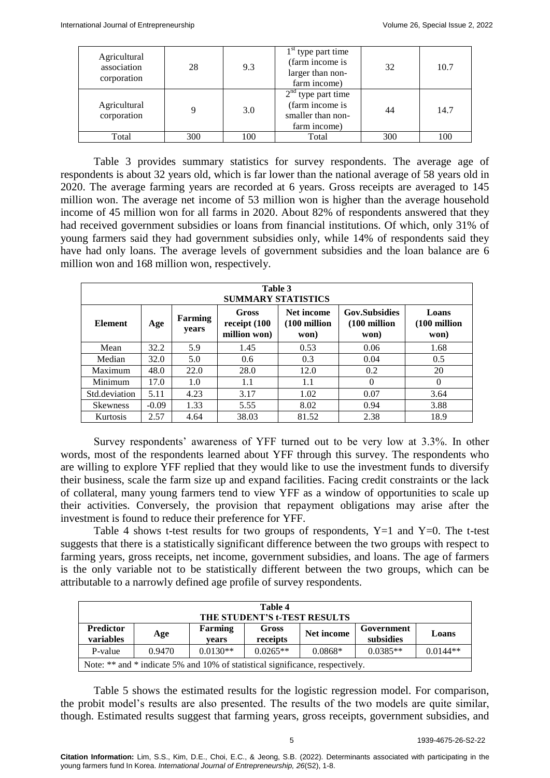| Agricultural<br>association<br>corporation | 28  | 9.3 | $1st$ type part time<br>(farm income is<br>larger than non-<br>farm income)  | 32  | 10.7 |
|--------------------------------------------|-----|-----|------------------------------------------------------------------------------|-----|------|
| Agricultural<br>corporation                | 9   | 3.0 | $2nd$ type part time<br>(farm income is<br>smaller than non-<br>farm income) | 44  | 14.7 |
| Total                                      | 300 | 100 | Total                                                                        | 300 | 100  |

Table 3 provides summary statistics for survey respondents. The average age of respondents is about 32 years old, which is far lower than the national average of 58 years old in 2020. The average farming years are recorded at 6 years. Gross receipts are averaged to 145 million won. The average net income of 53 million won is higher than the average household income of 45 million won for all farms in 2020. About 82% of respondents answered that they had received government subsidies or loans from financial institutions. Of which, only 31% of young farmers said they had government subsidies only, while 14% of respondents said they have had only loans. The average levels of government subsidies and the loan balance are 6 million won and 168 million won, respectively.

| Table 3<br><b>SUMMARY STATISTICS</b> |         |                  |                                       |                                               |                                              |                                          |
|--------------------------------------|---------|------------------|---------------------------------------|-----------------------------------------------|----------------------------------------------|------------------------------------------|
| <b>Element</b>                       | Age     | Farming<br>years | Gross<br>receipt (100<br>million won) | Net income<br>$(100 \text{ million})$<br>won) | <b>Gov.Subsidies</b><br>(100 million<br>won) | Loans<br>$(100 \text{ million})$<br>won) |
| Mean                                 | 32.2    | 5.9              | 1.45                                  | 0.53                                          | 0.06                                         | 1.68                                     |
| Median                               | 32.0    | 5.0              | 0.6                                   | 0.3                                           | 0.04                                         | 0.5                                      |
| Maximum                              | 48.0    | 22.0             | 28.0                                  | 12.0                                          | 0.2                                          | 20                                       |
| Minimum                              | 17.0    | 1.0              | 1.1                                   | 1.1                                           | $\Omega$                                     | $\Omega$                                 |
| Std.deviation                        | 5.11    | 4.23             | 3.17                                  | 1.02                                          | 0.07                                         | 3.64                                     |
| <b>Skewness</b>                      | $-0.09$ | 1.33             | 5.55                                  | 8.02                                          | 0.94                                         | 3.88                                     |
| Kurtosis                             | 2.57    | 4.64             | 38.03                                 | 81.52                                         | 2.38                                         | 18.9                                     |

Survey respondents' awareness of YFF turned out to be very low at 3.3%. In other words, most of the respondents learned about YFF through this survey. The respondents who are willing to explore YFF replied that they would like to use the investment funds to diversify their business, scale the farm size up and expand facilities. Facing credit constraints or the lack of collateral, many young farmers tend to view YFF as a window of opportunities to scale up their activities. Conversely, the provision that repayment obligations may arise after the investment is found to reduce their preference for YFF.

Table 4 shows t-test results for two groups of respondents,  $Y=1$  and  $Y=0$ . The t-test suggests that there is a statistically significant difference between the two groups with respect to farming years, gross receipts, net income, government subsidies, and loans. The age of farmers is the only variable not to be statistically different between the two groups, which can be attributable to a narrowly defined age profile of survey respondents.

| Table 4<br>THE STUDENT'S t-TEST RESULTS                                                |     |                         |                   |            |                         |       |
|----------------------------------------------------------------------------------------|-----|-------------------------|-------------------|------------|-------------------------|-------|
| <b>Predictor</b><br><b>variables</b>                                                   | Age | <b>Farming</b><br>vears | Gross<br>receipts | Net income | Government<br>subsidies | Loans |
| $0.0130**$<br>$0.0144**$<br>$0.0265**$<br>$0.0385**$<br>$0.0868*$<br>0.9470<br>P-value |     |                         |                   |            |                         |       |
| Note: ** and * indicate 5% and 10% of statistical significance, respectively.          |     |                         |                   |            |                         |       |

Table 5 shows the estimated results for the logistic regression model. For comparison, the probit model's results are also presented. The results of the two models are quite similar, though. Estimated results suggest that farming years, gross receipts, government subsidies, and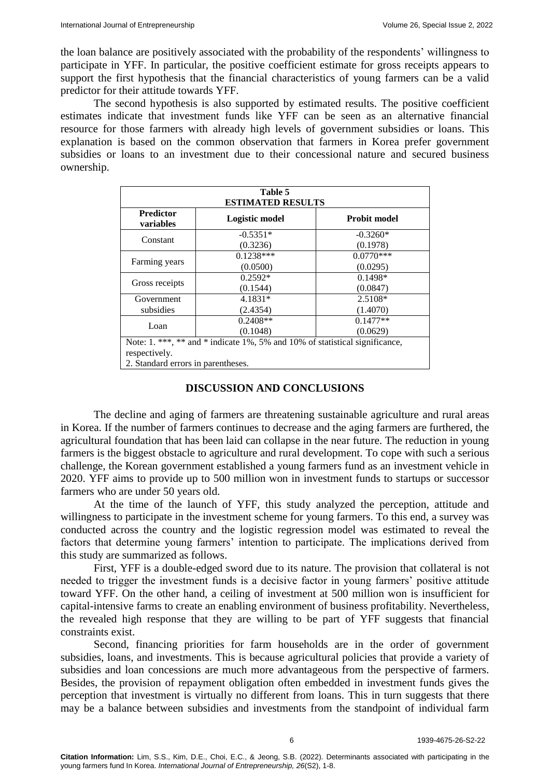the loan balance are positively associated with the probability of the respondents' willingness to participate in YFF. In particular, the positive coefficient estimate for gross receipts appears to support the first hypothesis that the financial characteristics of young farmers can be a valid predictor for their attitude towards YFF.

The second hypothesis is also supported by estimated results. The positive coefficient estimates indicate that investment funds like YFF can be seen as an alternative financial resource for those farmers with already high levels of government subsidies or loans. This explanation is based on the common observation that farmers in Korea prefer government subsidies or loans to an investment due to their concessional nature and secured business ownership.

| Table 5<br><b>ESTIMATED RESULTS</b>                                         |                         |                         |  |  |  |
|-----------------------------------------------------------------------------|-------------------------|-------------------------|--|--|--|
| <b>Predictor</b><br><b>variables</b>                                        | Logistic model          | <b>Probit model</b>     |  |  |  |
| Constant                                                                    | $-0.5351*$              | $-0.3260*$              |  |  |  |
|                                                                             | (0.3236)<br>$0.1238***$ | (0.1978)<br>$0.0770***$ |  |  |  |
| Farming years                                                               | (0.0500)                | (0.0295)                |  |  |  |
| Gross receipts                                                              | $0.2592*$<br>(0.1544)   | $0.1498*$<br>(0.0847)   |  |  |  |
| Government                                                                  | $4.1831*$               | 2.5108*                 |  |  |  |
| subsidies                                                                   | (2.4354)                | (1.4070)                |  |  |  |
| Loan                                                                        | $0.2408**$              | $0.1477**$              |  |  |  |
| (0.1048)<br>(0.0629)                                                        |                         |                         |  |  |  |
| Note: 1. ***, ** and * indicate 1%, 5% and 10% of statistical significance, |                         |                         |  |  |  |
| respectively.                                                               |                         |                         |  |  |  |
| 2. Standard errors in parentheses.                                          |                         |                         |  |  |  |

### **DISCUSSION AND CONCLUSIONS**

The decline and aging of farmers are threatening sustainable agriculture and rural areas in Korea. If the number of farmers continues to decrease and the aging farmers are furthered, the agricultural foundation that has been laid can collapse in the near future. The reduction in young farmers is the biggest obstacle to agriculture and rural development. To cope with such a serious challenge, the Korean government established a young farmers fund as an investment vehicle in 2020. YFF aims to provide up to 500 million won in investment funds to startups or successor farmers who are under 50 years old.

At the time of the launch of YFF, this study analyzed the perception, attitude and willingness to participate in the investment scheme for young farmers. To this end, a survey was conducted across the country and the logistic regression model was estimated to reveal the factors that determine young farmers' intention to participate. The implications derived from this study are summarized as follows.

First, YFF is a double-edged sword due to its nature. The provision that collateral is not needed to trigger the investment funds is a decisive factor in young farmers' positive attitude toward YFF. On the other hand, a ceiling of investment at 500 million won is insufficient for capital-intensive farms to create an enabling environment of business profitability. Nevertheless, the revealed high response that they are willing to be part of YFF suggests that financial constraints exist.

Second, financing priorities for farm households are in the order of government subsidies, loans, and investments. This is because agricultural policies that provide a variety of subsidies and loan concessions are much more advantageous from the perspective of farmers. Besides, the provision of repayment obligation often embedded in investment funds gives the perception that investment is virtually no different from loans. This in turn suggests that there may be a balance between subsidies and investments from the standpoint of individual farm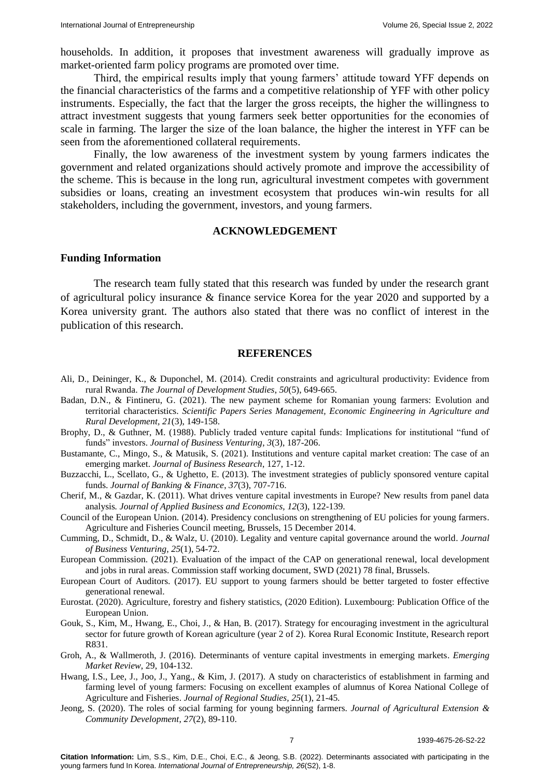households. In addition, it proposes that investment awareness will gradually improve as market-oriented farm policy programs are promoted over time.

Third, the empirical results imply that young farmers' attitude toward YFF depends on the financial characteristics of the farms and a competitive relationship of YFF with other policy instruments. Especially, the fact that the larger the gross receipts, the higher the willingness to attract investment suggests that young farmers seek better opportunities for the economies of scale in farming. The larger the size of the loan balance, the higher the interest in YFF can be seen from the aforementioned collateral requirements.

Finally, the low awareness of the investment system by young farmers indicates the government and related organizations should actively promote and improve the accessibility of the scheme. This is because in the long run, agricultural investment competes with government subsidies or loans, creating an investment ecosystem that produces win-win results for all stakeholders, including the government, investors, and young farmers.

#### **ACKNOWLEDGEMENT**

### **Funding Information**

The research team fully stated that this research was funded by under the research grant of agricultural policy insurance & finance service Korea for the year 2020 and supported by a Korea university grant. The authors also stated that there was no conflict of interest in the publication of this research.

#### **REFERENCES**

- Ali, D., Deininger, K., & Duponchel, M. (2014). [Credit constraints and agricultural productivity: Evidence from](https://www.tandfonline.com/doi/abs/10.1080/00220388.2014.887687)  [rural Rwanda.](https://www.tandfonline.com/doi/abs/10.1080/00220388.2014.887687) *The Journal of Development Studies*, *50*(5), 649-665.
- Badan, D.N., & Fintineru, G. (2021). [The new payment scheme for Romanian young farmers: Evolution and](http://managementjournal.usamv.ro/pdf/vol.21_3/Art16.pdf)  [territorial characteristics.](http://managementjournal.usamv.ro/pdf/vol.21_3/Art16.pdf) *Scientific Papers Series Management, Economic Engineering in Agriculture and Rural Development, 21*(3), 149-158.
- Brophy, D., & Guthner, M. (1988). [Publicly traded venture capital funds: Implications for institutional "fund of](https://www.sciencedirect.com/science/article/abs/pii/0883902688900146?via%3Dihub)  [funds" investors.](https://www.sciencedirect.com/science/article/abs/pii/0883902688900146?via%3Dihub) *Journal of Business Venturing*, *3*(3), 187-206.
- Bustamante, C., Mingo, S., & Matusik, S. (2021). [Institutions and venture capital market creation: The case of an](https://www.sciencedirect.com/science/article/abs/pii/S0148296321000084?via%3Dihub)  [emerging market.](https://www.sciencedirect.com/science/article/abs/pii/S0148296321000084?via%3Dihub) *Journal of Business Research*, 127, 1-12.
- Buzzacchi, L., Scellato, G., & Ughetto, E. (2013). [The investment strategies of publicly sponsored venture capital](https://www.sciencedirect.com/science/article/abs/pii/S0378426612003299?via%3Dihub)  [funds.](https://www.sciencedirect.com/science/article/abs/pii/S0378426612003299?via%3Dihub) *Journal of Banking & Finance*, *37*(3), 707-716.
- Cherif, M., & Gazdar, K. (2011). [What drives venture capital investments in Europe? New results from panel data](http://digitalcommons.www.na-businesspress.com/JABE/CherifWeb.pdf)  [analysis](http://digitalcommons.www.na-businesspress.com/JABE/CherifWeb.pdf)*. Journal of Applied Business and Economics, 12*(3), 122-139.
- Council of the European Union. (2014). [Presidency conclusions on strengthening of EU policies for young farmers.](https://www.consilium.europa.eu/en/meetings/agrifish/2014/12/15-16/)  Agriculture and Fisheries Council meeting, Brussels, 15 December 2014.
- Cumming, D., Schmidt, D., & Walz, U. (2010). [Legality and venture capital governance around the world.](https://www.sciencedirect.com/science/article/abs/pii/S0883902608000785?via%3Dihub) *Journal of Business Venturing, 25*(1), 54-72.
- European Commission. (2021). [Evaluation of the impact of the CAP on generational renewal,](https://op.europa.eu/en/publication-detail/-/publication/4bd0b0a2-0503-11ea-8c1f-01aa75ed71a1/language-en) local development [and jobs in rural areas.](https://op.europa.eu/en/publication-detail/-/publication/4bd0b0a2-0503-11ea-8c1f-01aa75ed71a1/language-en) Commission staff working document, SWD (2021) 78 final, Brussels.
- European Court of Auditors. (2017). EU support to [young farmers should be better targeted to foster effective](https://www.fao.org/family-farming/detail/en/c/1027579/)  [generational renewal.](https://www.fao.org/family-farming/detail/en/c/1027579/)
- Eurostat. (2020). [Agriculture, forestry and fishery statistics, \(2020 Edition\). Luxembourg: Publication Office of the](https://ec.europa.eu/eurostat/web/products-statistical-books/-/ks-fk-20-001)  [European Union.](https://ec.europa.eu/eurostat/web/products-statistical-books/-/ks-fk-20-001)
- Gouk, S., Kim, M., Hwang, E., Choi, J., & Han, B. (2017). Strategy for encouraging investment in the agricultural sector for future growth of Korean agriculture (year 2 of 2). Korea Rural Economic Institute, Research report R831.
- Groh, A., & Wallmeroth, J. (2016). [Determinants of venture capital investments in emerging markets.](https://papers.ssrn.com/sol3/papers.cfm?abstract_id=2605452) *Emerging Market Review*, 29, 104-132.
- Hwang, I.S., Lee, J., Joo, J., Yang., & Kim, J. (2017). [A study on characteristics of establishment in farming and](https://www.kci.go.kr/kciportal/landing/article.kci?arti_id=ART002215471)  [farming level of young farmers: Focusing on excellent examples of alumnus of Korea National College of](https://www.kci.go.kr/kciportal/landing/article.kci?arti_id=ART002215471)  [Agriculture and Fisheries.](https://www.kci.go.kr/kciportal/landing/article.kci?arti_id=ART002215471) *Journal of Regional Studies, 25*(1), 21-45*.*
- Jeong, S. (2020). [The roles of social farming for young beginning farmers.](http://koreascience.or.kr/article/JAKO202024852035563.page) *Journal of Agricultural Extension & Community Development*, *27*(2), 89-110.